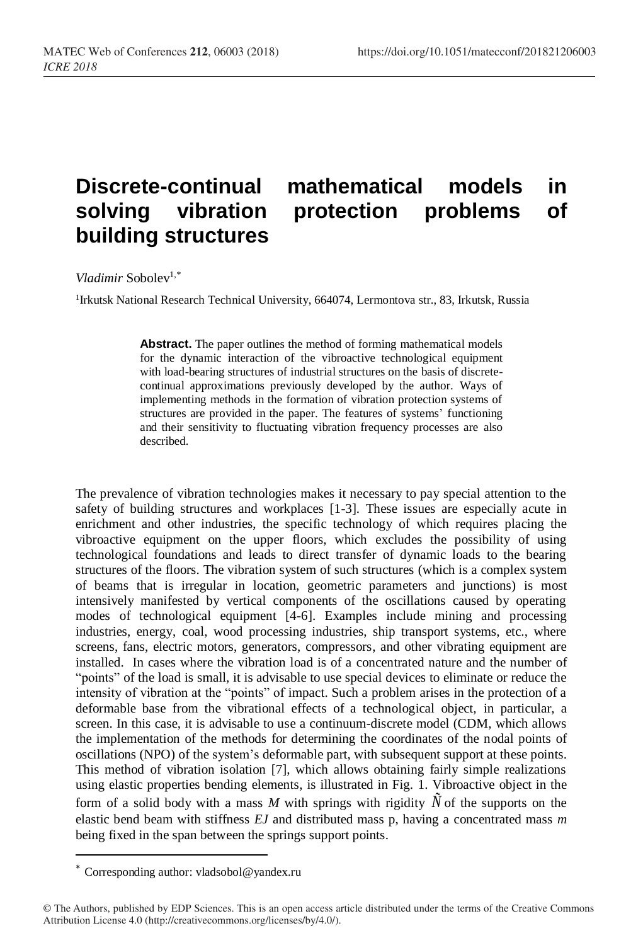## **Discrete-continual mathematical models in solving vibration protection problems of building structures**

*Vladimir* Sobolev1,\*

<sup>1</sup>Irkutsk National Research Technical University, 664074, Lermontova str., 83, Irkutsk, Russia

**Abstract.** The paper outlines the method of forming mathematical models for the dynamic interaction of the vibroactive technological equipment with load-bearing structures of industrial structures on the basis of discretecontinual approximations previously developed by the author. Ways of implementing methods in the formation of vibration protection systems of structures are provided in the paper. The features of systems' functioning and their sensitivity to fluctuating vibration frequency processes are also described.

The prevalence of vibration technologies makes it necessary to pay special attention to the safety of building structures and workplaces [1-3]. These issues are especially acute in enrichment and other industries, the specific technology of which requires placing the vibroactive equipment on the upper floors, which excludes the possibility of using technological foundations and leads to direct transfer of dynamic loads to the bearing structures of the floors. The vibration system of such structures (which is a complex system of beams that is irregular in location, geometric parameters and junctions) is most intensively manifested by vertical components of the oscillations caused by operating modes of technological equipment [4-6]. Examples include mining and processing industries, energy, coal, wood processing industries, ship transport systems, etc., where screens, fans, electric motors, generators, compressors, and other vibrating equipment are installed. In cases where the vibration load is of a concentrated nature and the number of "points" of the load is small, it is advisable to use special devices to eliminate or reduce the intensity of vibration at the "points" of impact. Such a problem arises in the protection of a deformable base from the vibrational effects of a technological object, in particular, a screen. In this case, it is advisable to use a continuum-discrete model (CDM, which allows the implementation of the methods for determining the coordinates of the nodal points of oscillations (NPO) of the system's deformable part, with subsequent support at these points. This method of vibration isolation [7], which allows obtaining fairly simple realizations using elastic properties bending elements, is illustrated in Fig. 1. Vibroactive object in the form of a solid body with a mass *M* with springs with rigidity *Ñ* of the supports on the elastic bend beam with stiffness *EJ* and distributed mass p, having a concentrated mass *m* being fixed in the span between the springs support points.

 $\overline{a}$ 

<sup>\*</sup> Corresponding author: vladsobol@yandex.ru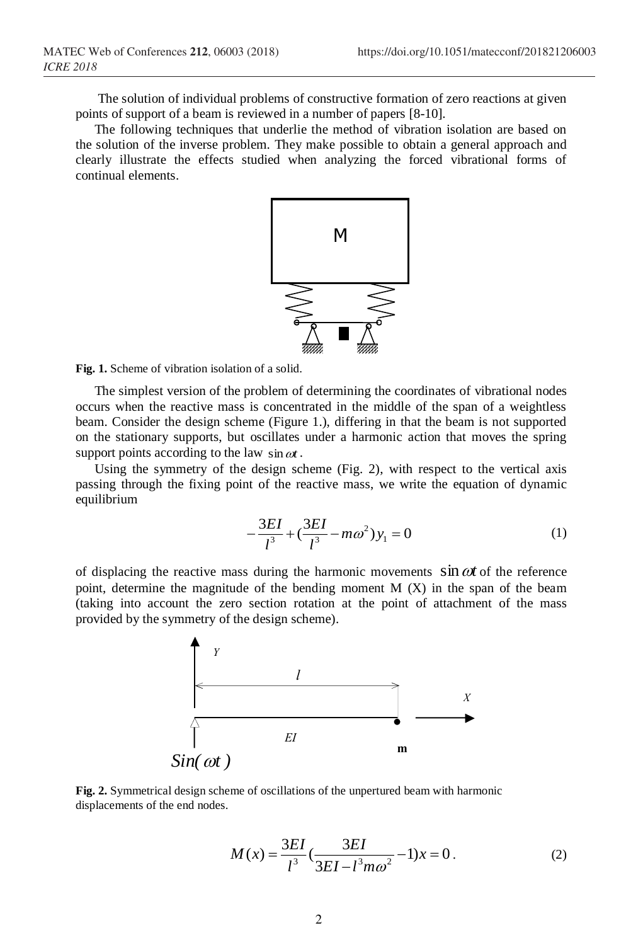The solution of individual problems of constructive formation of zero reactions at given points of support of a beam is reviewed in a number of papers [8-10].

The following techniques that underlie the method of vibration isolation are based on the solution of the inverse problem. They make possible to obtain a general approach and clearly illustrate the effects studied when analyzing the forced vibrational forms of continual elements.



**Fig. 1.** Scheme of vibration isolation of a solid.

occurs when the reactive mass is concentrated in the middle of the span of a weightless beam. Consider the design scheme (Figure 1.), differing in that the beam is not supported on the stationary supports, but oscillates under a harmonic action that moves the spring support points according to the law  $\sin \omega t$ .

Using the symmetry of the design scheme (Fig. 2), with respect to the vertical axis passing through the fixing point of the reactive mass, we write the equation of dynamic equilibrium

$$
-\frac{3EI}{l^3} + (\frac{3EI}{l^3} - m\omega^2)y_1 = 0
$$
 (1)

of displacing the reactive mass during the harmonic movements  $\sin \omega t$  of the reference point, determine the magnitude of the bending moment M (X) in the span of the beam (taking into account the zero section rotation at the point of attachment of the mass provided by the symmetry of the design scheme).



**Fig. 2.** Symmetrical design scheme of oscillations of the unpertured beam with harmonic displacements of the end nodes.

$$
M(x) = \frac{3EI}{l^3} \left( \frac{3EI}{3EI - l^3 m\omega^2} - 1 \right) x = 0.
$$
 (2)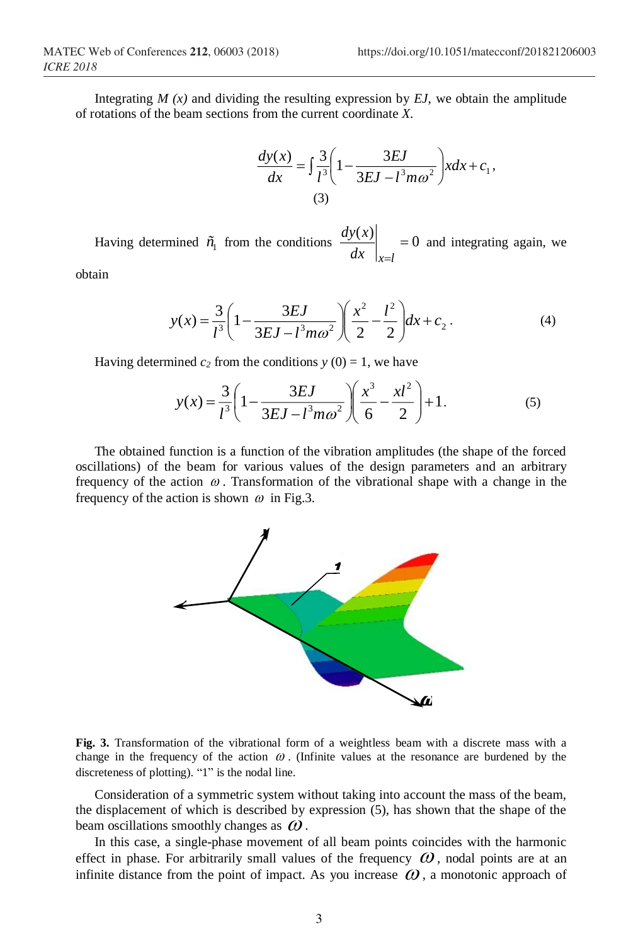Integrating  $M(x)$  and dividing the resulting expression by  $EJ$ , we obtain the amplitude of rotations of the beam sections from the current coordinate *X*.

$$
\frac{dy(x)}{dx} = \int \frac{3}{l^3} \left( 1 - \frac{3EI}{3EI - l^3 m\omega^2} \right) x dx + c_1,
$$
\n(3)

Having determined  $\tilde{n}_1$  from the conditions  $\frac{dy(x)}{dx}$  $= 0$  and integrating again, we  $dx \mid_{x=l}$ *dy <sup>x</sup>*

obtain

$$
y(x) = \frac{3}{l^3} \left( 1 - \frac{3EI}{3EI - l^3 m\omega^2} \right) \left( \frac{x^2}{2} - \frac{l^2}{2} \right) dx + c_2.
$$
 (4)

Having determined  $c_2$  from the conditions  $y(0) = 1$ , we have

$$
y(x) = \frac{3}{l^3} \left( 1 - \frac{3EI}{3EI - l^3 m\omega^2} \right) \left( \frac{x^3}{6} - \frac{x l^2}{2} \right) + 1.
$$
 (5)

The obtained function is a function of the vibration amplitudes (the shape of the forced oscillations) of the beam for various values of the design parameters and an arbitrary frequency of the action  $\omega$ . Transformation of the vibrational shape with a change in the frequency of the action is shown  $\omega$  in Fig.3.



**Fig. 3.** Transformation of the vibrational form of a weightless beam with a discrete mass with a change in the frequency of the action  $\omega$ . (Infinite values at the resonance are burdened by the discreteness of plotting). "1" is the nodal line.

Consideration of a symmetric system without taking into account the mass of the beam, the displacement of which is described by expression (5), has shown that the shape of the beam oscillations smoothly changes as  $\omega$ .

In this case, a single-phase movement of all beam points coincides with the harmonic effect in phase. For arbitrarily small values of the frequency  $\omega$ , nodal points are at an infinite distance from the point of impact. As you increase  $\omega$ , a monotonic approach of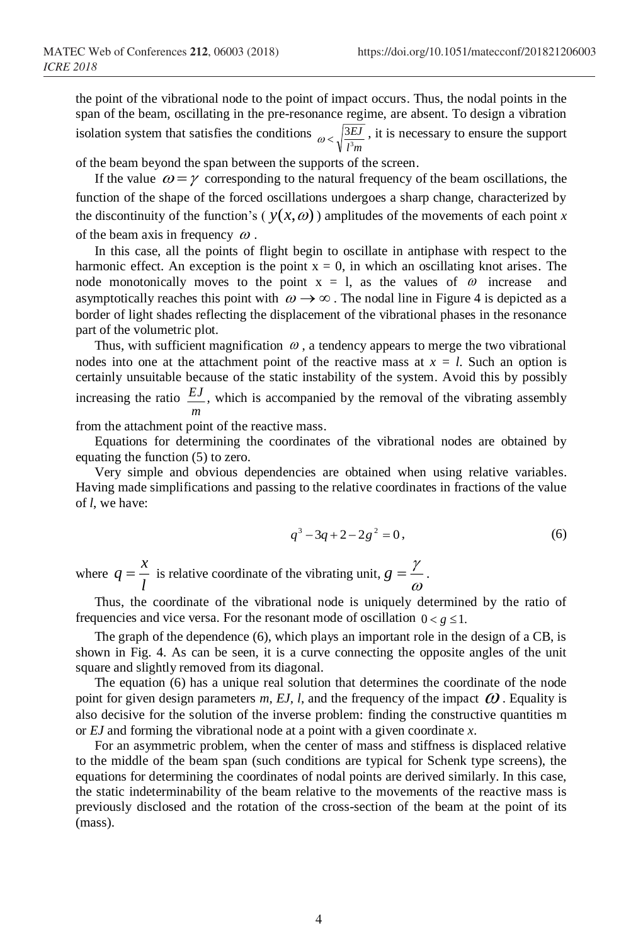the point of the vibrational node to the point of impact occurs. Thus, the nodal points in the span of the beam, oscillating in the pre-resonance regime, are absent. To design a vibration isolation system that satisfies the conditions *l <sup>m</sup> EJ* 3  $\omega < \sqrt{\frac{3EI}{\pi}}$ , it is necessary to ensure the support

of the beam beyond the span between the supports of the screen.

If the value  $\omega = \gamma$  corresponding to the natural frequency of the beam oscillations, the function of the shape of the forced oscillations undergoes a sharp change, characterized by the discontinuity of the function's ( $y(x, \omega)$ ) amplitudes of the movements of each point *x* of the beam axis in frequency  $\omega$ .

In this case, all the points of flight begin to oscillate in antiphase with respect to the harmonic effect. An exception is the point  $x = 0$ , in which an oscillating knot arises. The node monotonically moves to the point  $x = 1$ , as the values of  $\omega$  increase and asymptotically reaches this point with  $\omega \rightarrow \infty$ . The nodal line in Figure 4 is depicted as a border of light shades reflecting the displacement of the vibrational phases in the resonance part of the volumetric plot.

Thus, with sufficient magnification  $\omega$ , a tendency appears to merge the two vibrational nodes into one at the attachment point of the reactive mass at  $x = l$ . Such an option is certainly unsuitable because of the static instability of the system. Avoid this by possibly increasing the ratio  $EL$ , which is accompanied by the removal of the vibrating assembly *m*

from the attachment point of the reactive mass.

Equations for determining the coordinates of the vibrational nodes are obtained by equating the function (5) to zero.

Very simple and obvious dependencies are obtained when using relative variables. Having made simplifications and passing to the relative coordinates in fractions of the value of *l*, we have:

$$
q^3 - 3q + 2 - 2g^2 = 0,\t\t(6)
$$

where  $q = \frac{1}{l}$  $q = \frac{x}{l}$  is relative coordinate of the vibrating unit,  $g = \frac{\gamma}{\omega}$  $g = \frac{\gamma}{\gamma}$ .

Thus, the coordinate of the vibrational node is uniquely determined by the ratio of frequencies and vice versa. For the resonant mode of oscillation  $0 < g \leq 1$ .

The graph of the dependence (6), which plays an important role in the design of a CB, is shown in Fig. 4. As can be seen, it is a curve connecting the opposite angles of the unit square and slightly removed from its diagonal.

The equation (6) has a unique real solution that determines the coordinate of the node point for given design parameters  $m$ , EJ, l, and the frequency of the impact  $\omega$ . Equality is also decisive for the solution of the inverse problem: finding the constructive quantities m or *EJ* and forming the vibrational node at a point with a given coordinate *x*.

For an asymmetric problem, when the center of mass and stiffness is displaced relative to the middle of the beam span (such conditions are typical for Schenk type screens), the equations for determining the coordinates of nodal points are derived similarly. In this case, the static indeterminability of the beam relative to the movements of the reactive mass is previously disclosed and the rotation of the cross-section of the beam at the point of its (mass).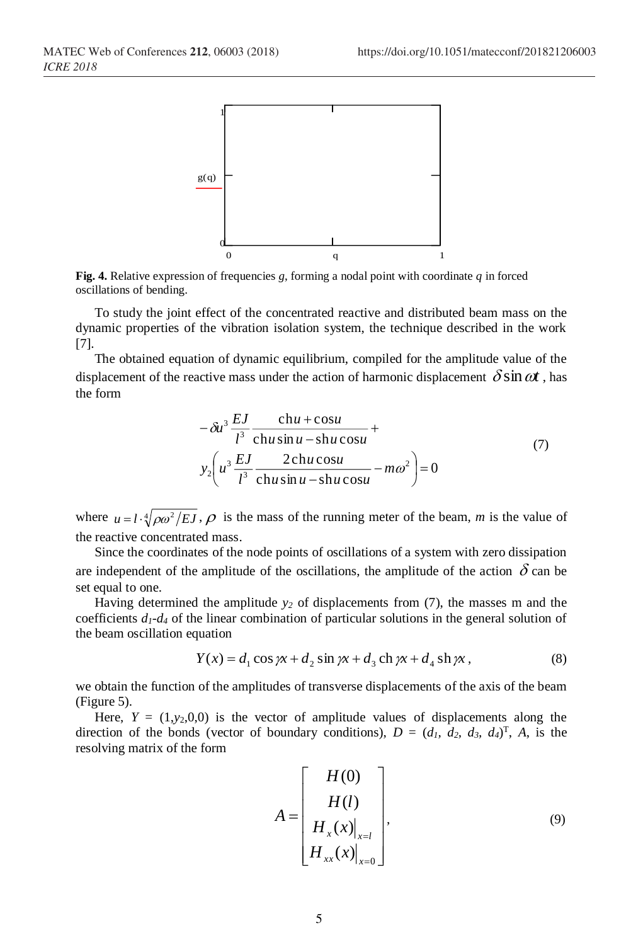

**Fig. 4.** Relative expression of frequencies *g*, forming a nodal point with coordinate *q* in forced oscillations of bending.

To study the joint effect of the concentrated reactive and distributed beam mass on the dynamic properties of the vibration isolation system, the technique described in the work [7].

The obtained equation of dynamic equilibrium, compiled for the amplitude value of the displacement of the reactive mass under the action of harmonic displacement  $\delta \sin \omega t$ , has the form

$$
-\delta u^3 \frac{EJ}{l^3} \frac{chu + cosu}{chu \sin u - shu \cos u} +
$$
  
\n
$$
y_2 \left( u^3 \frac{EJ}{l^3} \frac{2chu \cos u}{chu \sin u - shu \cos u} - m\omega^2 \right) = 0
$$
\n(7)

where  $u = l \cdot \sqrt[4]{\rho \omega^2/EJ}$ ,  $\rho$  is the mass of the running meter of the beam, *m* is the value of the reactive concentrated mass.

Since the coordinates of the node points of oscillations of a system with zero dissipation are independent of the amplitude of the oscillations, the amplitude of the action  $\delta$  can be set equal to one.

Having determined the amplitude  $y_2$  of displacements from  $(7)$ , the masses m and the coefficients *d1-d<sup>4</sup>* of the linear combination of particular solutions in the general solution of the beam oscillation equation

$$
Y(x) = d_1 \cos \gamma x + d_2 \sin \gamma x + d_3 \ch \gamma x + d_4 \sh \gamma x \,, \tag{8}
$$

we obtain the function of the amplitudes of transverse displacements of the axis of the beam (Figure 5).

Here,  $Y = (1, y_2, 0, 0)$  is the vector of amplitude values of displacements along the direction of the bonds (vector of boundary conditions),  $D = (d_1, d_2, d_3, d_4)^T$ , A, is the resolving matrix of the form

$$
A = \begin{bmatrix} H(0) \\ H(l) \\ H_x(x) \Big|_{x=l} \\ H_{xx}(x) \Big|_{x=0} \end{bmatrix}, \tag{9}
$$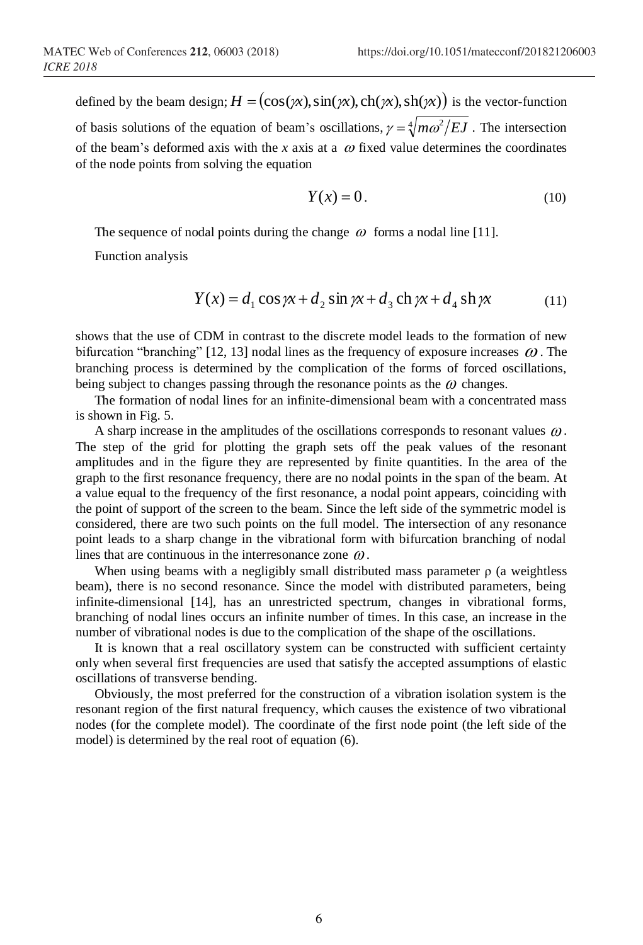defined by the beam design;  $H = (\cos(\pi x), \sin(\pi x), \sin(\pi x))$  is the vector-function of basis solutions of the equation of beam's oscillations,  $\gamma = \sqrt[4]{m\omega^2/EJ}$ . The intersection of the beam's deformed axis with the *x* axis at a  $\omega$  fixed value determines the coordinates of the node points from solving the equation

$$
Y(x) = 0.
$$
 (10)

The sequence of nodal points during the change  $\omega$  forms a nodal line [11].

Function analysis

$$
Y(x) = d_1 \cos \gamma x + d_2 \sin \gamma x + d_3 \ch \gamma x + d_4 \sh \gamma x \tag{11}
$$

shows that the use of CDM in contrast to the discrete model leads to the formation of new bifurcation "branching" [12, 13] nodal lines as the frequency of exposure increases  $\omega$ . The branching process is determined by the complication of the forms of forced oscillations, being subject to changes passing through the resonance points as the  $\omega$  changes.

The formation of nodal lines for an infinite-dimensional beam with a concentrated mass is shown in Fig. 5.

A sharp increase in the amplitudes of the oscillations corresponds to resonant values  $\omega$ . The step of the grid for plotting the graph sets off the peak values of the resonant amplitudes and in the figure they are represented by finite quantities. In the area of the graph to the first resonance frequency, there are no nodal points in the span of the beam. At a value equal to the frequency of the first resonance, a nodal point appears, coinciding with the point of support of the screen to the beam. Since the left side of the symmetric model is considered, there are two such points on the full model. The intersection of any resonance point leads to a sharp change in the vibrational form with bifurcation branching of nodal lines that are continuous in the interresonance zone  $\omega$ .

When using beams with a negligibly small distributed mass parameter  $\rho$  (a weightless beam), there is no second resonance. Since the model with distributed parameters, being infinite-dimensional [14], has an unrestricted spectrum, changes in vibrational forms, branching of nodal lines occurs an infinite number of times. In this case, an increase in the number of vibrational nodes is due to the complication of the shape of the oscillations.

It is known that a real oscillatory system can be constructed with sufficient certainty only when several first frequencies are used that satisfy the accepted assumptions of elastic oscillations of transverse bending.

Obviously, the most preferred for the construction of a vibration isolation system is the resonant region of the first natural frequency, which causes the existence of two vibrational nodes (for the complete model). The coordinate of the first node point (the left side of the model) is determined by the real root of equation (6).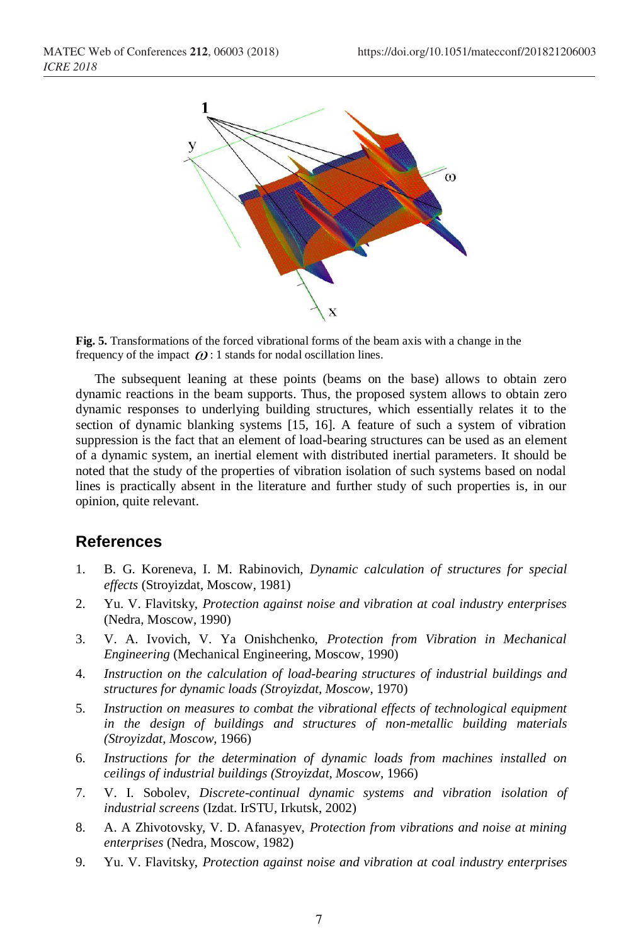

**Fig. 5.** Transformations of the forced vibrational forms of the beam axis with a change in the frequency of the impact  $Q$ : 1 stands for nodal oscillation lines.

The subsequent leaning at these points (beams on the base) allows to obtain zero dynamic reactions in the beam supports. Thus, the proposed system allows to obtain zero dynamic responses to underlying building structures, which essentially relates it to the section of dynamic blanking systems [15, 16]. A feature of such a system of vibration suppression is the fact that an element of load-bearing structures can be used as an element of a dynamic system, an inertial element with distributed inertial parameters. It should be noted that the study of the properties of vibration isolation of such systems based on nodal lines is practically absent in the literature and further study of such properties is, in our opinion, quite relevant.

## **References**

- 1. B. G. Koreneva, I. M. Rabinovich, *Dynamic calculation of structures for special effects* (Stroyizdat, Moscow, 1981)
- 2. Yu. V. Flavitsky, *Protection against noise and vibration at coal industry enterprises*  (Nedra, Moscow, 1990)
- 3. V. A. Ivovich, V. Ya Onishchenko, *Protection from Vibration in Mechanical Engineering* (Mechanical Engineering, Moscow, 1990)
- 4. *Instruction on the calculation of load-bearing structures of industrial buildings and structures for dynamic loads (Stroyizdat, Moscow*, 1970)
- 5. *Instruction on measures to combat the vibrational effects of technological equipment in the design of buildings and structures of non-metallic building materials (Stroyizdat*, *Moscow*, 1966)
- 6. *Instructions for the determination of dynamic loads from machines installed on ceilings of industrial buildings (Stroyizdat, Moscow*, 1966)
- 7. V. I. Sobolev, *Discrete-continual dynamic systems and vibration isolation of industrial screens* (Izdat. IrSTU, Irkutsk, 2002)
- 8. A. A Zhivotovsky, V. D. Afanasyev, *Protection from vibrations and noise at mining enterprises* (Nedra, Moscow, 1982)
- 9. Yu. V. Flavitsky, *Protection against noise and vibration at coal industry enterprises*